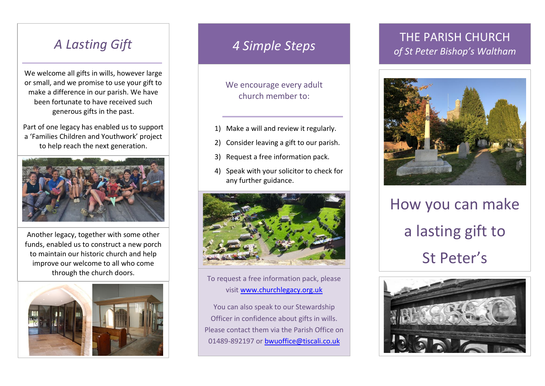## *A Lasting Gift*

We welcome all gifts in wills, however large or small, and we promise to use your gift to make a difference in our parish. We have been fortunate to have received such generous gifts in the past.

Part of one legacy has enabled us to support a 'Families Children and Youthwork' project to help reach the next generation.



Another legacy, together with some other funds, enabled us to construct a new porch to maintain our historic church and help improve our welcome to all who come through the church doors.



### *4 Simple Steps*

We encourage every adult church member to:

- 1) Make a will and review it regularly.
- 2) Consider leaving a gift to our parish.
- 3) Request a free information pack.
- 4) Speak with your solicitor to check for any further guidance.



To request a free information pack, please visit [www.churchlegacy.org.uk](http://www.churchlegacy.org.uk/)

You can also speak to our Stewardship Officer in confidence about gifts in wills. Please contact them via the Parish Office on 01489-892197 or [bwuoffice@tiscali.co.uk](mailto:bwuoffice@tiscali.co.uk)

### THE PARISH CHURCH *of St Peter Bishop's Waltham*



How you can make a lasting gift to St Peter's